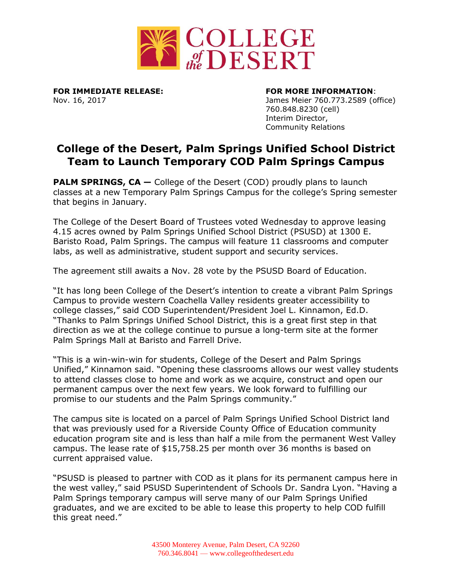

**FOR IMMEDIATE RELEASE: FOR MORE INFORMATION**:

Nov. 16, 2017 James Meier 760.773.2589 (office) 760.848.8230 (cell) Interim Director, Community Relations

## **College of the Desert, Palm Springs Unified School District Team to Launch Temporary COD Palm Springs Campus**

**PALM SPRINGS, CA** – College of the Desert (COD) proudly plans to launch classes at a new Temporary Palm Springs Campus for the college's Spring semester that begins in January.

The College of the Desert Board of Trustees voted Wednesday to approve leasing 4.15 acres owned by Palm Springs Unified School District (PSUSD) at 1300 E. Baristo Road, Palm Springs. The campus will feature 11 classrooms and computer labs, as well as administrative, student support and security services.

The agreement still awaits a Nov. 28 vote by the PSUSD Board of Education.

"It has long been College of the Desert's intention to create a vibrant Palm Springs Campus to provide western Coachella Valley residents greater accessibility to college classes," said COD Superintendent/President Joel L. Kinnamon, Ed.D. "Thanks to Palm Springs Unified School District, this is a great first step in that direction as we at the college continue to pursue a long-term site at the former Palm Springs Mall at Baristo and Farrell Drive.

"This is a win-win-win for students, College of the Desert and Palm Springs Unified," Kinnamon said. "Opening these classrooms allows our west valley students to attend classes close to home and work as we acquire, construct and open our permanent campus over the next few years. We look forward to fulfilling our promise to our students and the Palm Springs community."

The campus site is located on a parcel of Palm Springs Unified School District land that was previously used for a Riverside County Office of Education community education program site and is less than half a mile from the permanent West Valley campus. The lease rate of \$15,758.25 per month over 36 months is based on current appraised value.

"PSUSD is pleased to partner with COD as it plans for its permanent campus here in the west valley," said PSUSD Superintendent of Schools Dr. Sandra Lyon. "Having a Palm Springs temporary campus will serve many of our Palm Springs Unified graduates, and we are excited to be able to lease this property to help COD fulfill this great need."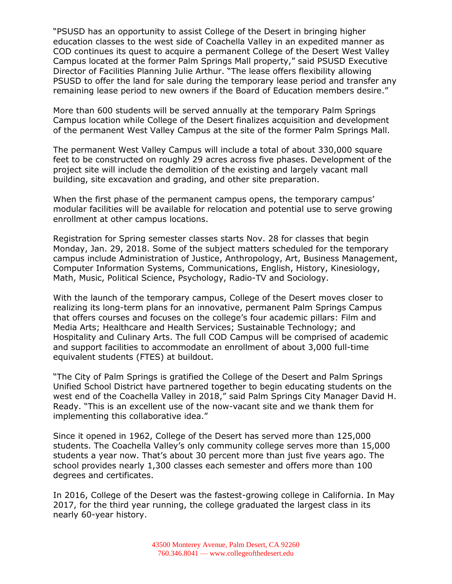"PSUSD has an opportunity to assist College of the Desert in bringing higher education classes to the west side of Coachella Valley in an expedited manner as COD continues its quest to acquire a permanent College of the Desert West Valley Campus located at the former Palm Springs Mall property," said PSUSD Executive Director of Facilities Planning Julie Arthur. "The lease offers flexibility allowing PSUSD to offer the land for sale during the temporary lease period and transfer any remaining lease period to new owners if the Board of Education members desire."

More than 600 students will be served annually at the temporary Palm Springs Campus location while College of the Desert finalizes acquisition and development of the permanent West Valley Campus at the site of the former Palm Springs Mall.

The permanent West Valley Campus will include a total of about 330,000 square feet to be constructed on roughly 29 acres across five phases. Development of the project site will include the demolition of the existing and largely vacant mall building, site excavation and grading, and other site preparation.

When the first phase of the permanent campus opens, the temporary campus' modular facilities will be available for relocation and potential use to serve growing enrollment at other campus locations.

Registration for Spring semester classes starts Nov. 28 for classes that begin Monday, Jan. 29, 2018. Some of the subject matters scheduled for the temporary campus include Administration of Justice, Anthropology, Art, Business Management, Computer Information Systems, Communications, English, History, Kinesiology, Math, Music, Political Science, Psychology, Radio-TV and Sociology.

With the launch of the temporary campus, College of the Desert moves closer to realizing its long-term plans for an innovative, permanent Palm Springs Campus that offers courses and focuses on the college's four academic pillars: Film and Media Arts; Healthcare and Health Services; Sustainable Technology; and Hospitality and Culinary Arts. The full COD Campus will be comprised of academic and support facilities to accommodate an enrollment of about 3,000 full-time equivalent students (FTES) at buildout.

"The City of Palm Springs is gratified the College of the Desert and Palm Springs Unified School District have partnered together to begin educating students on the west end of the Coachella Valley in 2018," said Palm Springs City Manager David H. Ready. "This is an excellent use of the now-vacant site and we thank them for implementing this collaborative idea."

Since it opened in 1962, College of the Desert has served more than 125,000 students. The Coachella Valley's only community college serves more than 15,000 students a year now. That's about 30 percent more than just five years ago. The school provides nearly 1,300 classes each semester and offers more than 100 degrees and certificates.

In 2016, College of the Desert was the fastest-growing college in California. In May 2017, for the third year running, the college graduated the largest class in its nearly 60-year history.